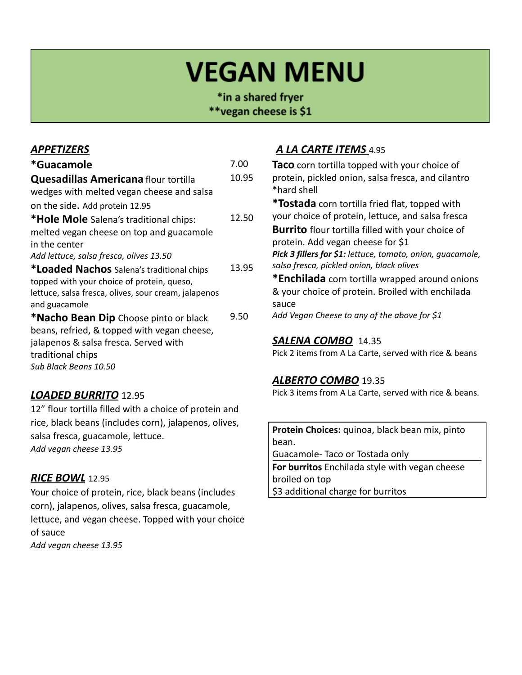# **VEGAN MENU**

\*in a shared fryer \*\*vegan cheese is \$1

#### *APPETIZERS*

| *Guacamole                                           | 7.00  |
|------------------------------------------------------|-------|
| <b>Quesadillas Americana flour tortilla</b>          | 10.95 |
| wedges with melted vegan cheese and salsa            |       |
| on the side. Add protein 12.95                       |       |
| *Hole Mole Salena's traditional chips:               | 12.50 |
| melted vegan cheese on top and guacamole             |       |
| in the center                                        |       |
| Add lettuce, salsa fresca, olives 13.50              |       |
| *Loaded Nachos Salena's traditional chips            | 13.95 |
| topped with your choice of protein, queso,           |       |
| lettuce, salsa fresca, olives, sour cream, jalapenos |       |
| and guacamole                                        |       |
| <b>*Nacho Bean Dip</b> Choose pinto or black         | 9.50  |
| beans, refried, & topped with vegan cheese,          |       |
| jalapenos & salsa fresca. Served with                |       |
| traditional chips                                    |       |
| Sub Black Beans 10.50                                |       |
|                                                      |       |

#### *LOADED BURRITO* 12.95

12" flour tortilla filled with a choice of protein and rice, black beans (includes corn), jalapenos, olives, salsa fresca, guacamole, lettuce. *Add vegan cheese 13.95*

#### *RICE BOWL* 12.95

Your choice of protein, rice, black beans (includes corn), jalapenos, olives, salsa fresca, guacamole, lettuce, and vegan cheese. Topped with your choice of sauce *Add vegan cheese 13.95*

### *A LA CARTE ITEMS* 4.95

**Taco** corn tortilla topped with your choice of protein, pickled onion, salsa fresca, and cilantro \*hard shell

**\*Tostada** corn tortilla fried flat, topped with your choice of protein, lettuce, and salsa fresca

**Burrito** flour tortilla filled with your choice of protein. Add vegan cheese for \$1 *Pick 3 fillers for \$1: lettuce, tomato, onion, guacamole, salsa fresca, pickled onion, black olives*

**\*Enchilada** corn tortilla wrapped around onions & your choice of protein. Broiled with enchilada sauce

*Add Vegan Cheese to any of the above for \$1*

#### *SALENA COMBO* 14.35

Pick 2 items from A La Carte, served with rice & beans

#### *ALBERTO COMBO* 19.35

Pick 3 items from A La Carte, served with rice & beans.

**Protein Choices:** quinoa, black bean mix, pinto bean.

Guacamole- Taco or Tostada only

**For burritos** Enchilada style with vegan cheese broiled on top \$3 additional charge for burritos